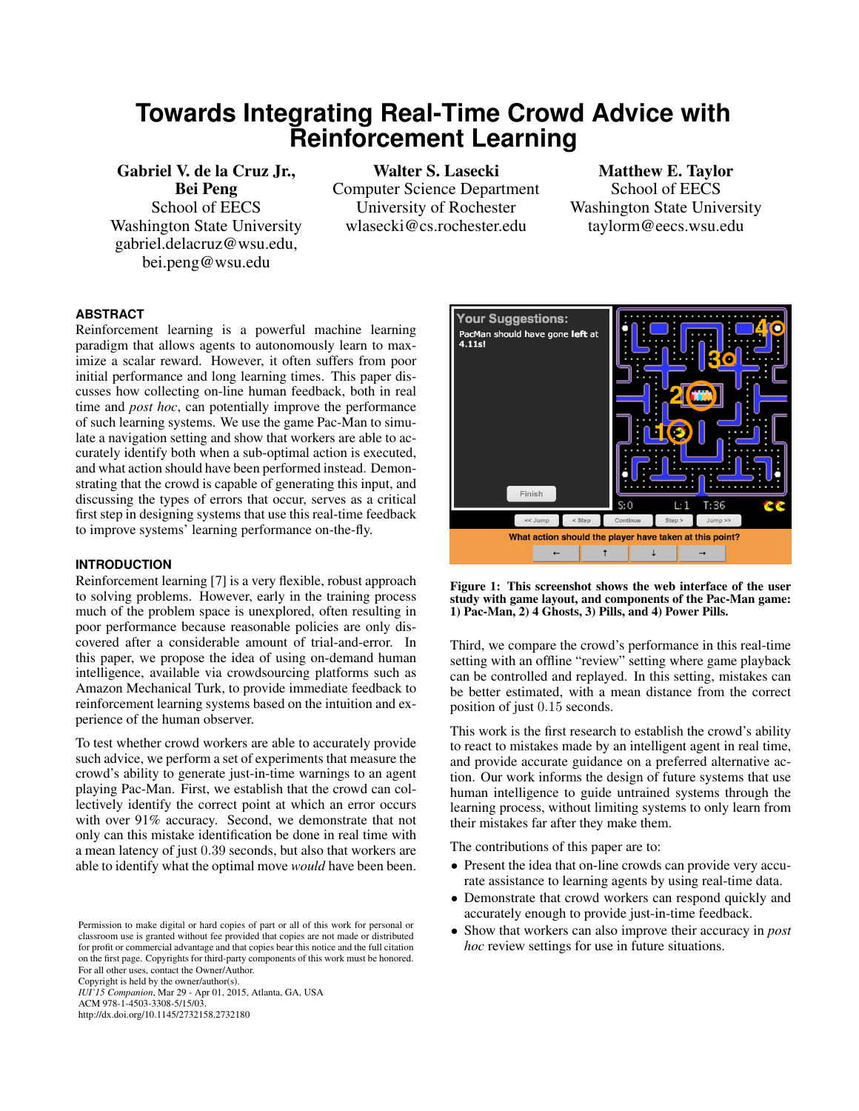# **Towards Integrating Real-Time Crowd Advice with Reinforcement Learning**

Gabriel V. de la Cruz Jr., Bei Peng School of EECS Washington State University gabriel.delacruz@wsu.edu, bei.peng@wsu.edu

Walter S. Lasecki Computer Science Department University of Rochester wlasecki@cs.rochester.edu

Matthew E. Taylor School of EECS Washington State University taylorm@eecs.wsu.edu

# **ABSTRACT**

Reinforcement learning is a powerful machine learning paradigm that allows agents to autonomously learn to maximize a scalar reward. However, it often suffers from poor initial performance and long learning times. This paper discusses how collecting on-line human feedback, both in real time and *post hoc*, can potentially improve the performance of such learning systems. We use the game Pac-Man to simulate a navigation setting and show that workers are able to accurately identify both when a sub-optimal action is executed, and what action should have been performed instead. Demonstrating that the crowd is capable of generating this input, and discussing the types of errors that occur, serves as a critical first step in designing systems that use this real-time feedback to improve systems' learning performance on-the-fly.

# **INTRODUCTION**

Reinforcement learning [\[7\]](#page-3-0) is a very flexible, robust approach to solving problems. However, early in the training process much of the problem space is unexplored, often resulting in poor performance because reasonable policies are only discovered after a considerable amount of trial-and-error. In this paper, we propose the idea of using on-demand human intelligence, available via crowdsourcing platforms such as Amazon Mechanical Turk, to provide immediate feedback to reinforcement learning systems based on the intuition and experience of the human observer.

To test whether crowd workers are able to accurately provide such advice, we perform a set of experiments that measure the crowd's ability to generate just-in-time warnings to an agent playing Pac-Man. First, we establish that the crowd can collectively identify the correct point at which an error occurs with over 91% accuracy. Second, we demonstrate that not only can this mistake identification be done in real time with a mean latency of just 0.39 seconds, but also that workers are able to identify what the optimal move *would* have been been.

Permission to make digital or hard copies of part or all of this work for personal or classroom use is granted without fee provided that copies are not made or distributed for profit or commercial advantage and that copies bear this notice and the full citation on the first page. Copyrights for third-party components of this work must be honored. For all other uses, contact the Owner/Author. Copyright is held by the owner/author(s). *IUI'15 Companion*, Mar 29 - Apr 01, 2015, Atlanta, GA, USA ACM 978-1-4503-3308-5/15/03. http://dx.doi.org/10.1145/2732158.2732180

<span id="page-0-0"></span>



Third, we compare the crowd's performance in this real-time setting with an offline "review" setting where game playback can be controlled and replayed. In this setting, mistakes can be better estimated, with a mean distance from the correct position of just 0.15 seconds.

This work is the first research to establish the crowd's ability to react to mistakes made by an intelligent agent in real time, and provide accurate guidance on a preferred alternative action. Our work informs the design of future systems that use human intelligence to guide untrained systems through the learning process, without limiting systems to only learn from their mistakes far after they make them.

The contributions of this paper are to:

- Present the idea that on-line crowds can provide very accurate assistance to learning agents by using real-time data.
- Demonstrate that crowd workers can respond quickly and accurately enough to provide just-in-time feedback.
- Show that workers can also improve their accuracy in *post hoc* review settings for use in future situations.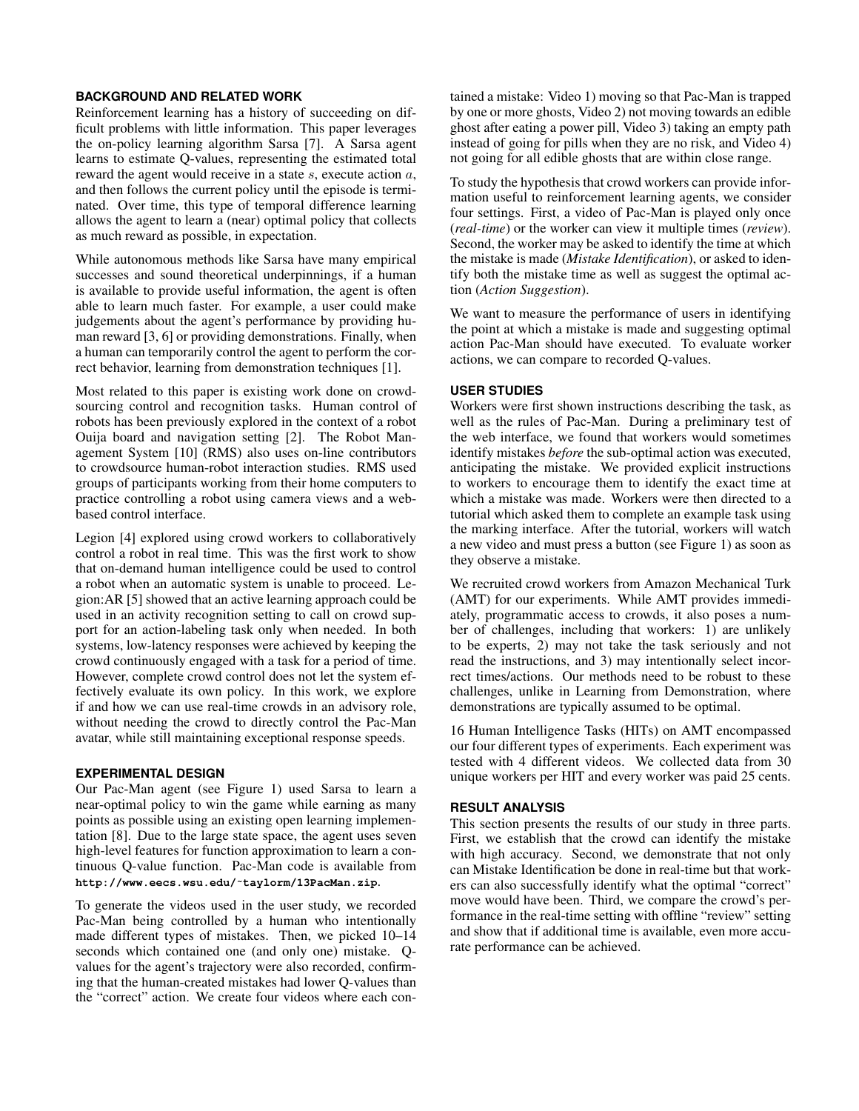# **BACKGROUND AND RELATED WORK**

Reinforcement learning has a history of succeeding on difficult problems with little information. This paper leverages the on-policy learning algorithm Sarsa [\[7\]](#page-3-0). A Sarsa agent learns to estimate Q-values, representing the estimated total reward the agent would receive in a state s, execute action a, and then follows the current policy until the episode is terminated. Over time, this type of temporal difference learning allows the agent to learn a (near) optimal policy that collects as much reward as possible, in expectation.

While autonomous methods like Sarsa have many empirical successes and sound theoretical underpinnings, if a human is available to provide useful information, the agent is often able to learn much faster. For example, a user could make judgements about the agent's performance by providing human reward [\[3,](#page-3-1) [6\]](#page-3-2) or providing demonstrations. Finally, when a human can temporarily control the agent to perform the correct behavior, learning from demonstration techniques [\[1\]](#page-3-3).

Most related to this paper is existing work done on crowdsourcing control and recognition tasks. Human control of robots has been previously explored in the context of a robot Ouija board and navigation setting [\[2\]](#page-3-4). The Robot Management System [\[10\]](#page-3-5) (RMS) also uses on-line contributors to crowdsource human-robot interaction studies. RMS used groups of participants working from their home computers to practice controlling a robot using camera views and a webbased control interface.

Legion [\[4\]](#page-3-6) explored using crowd workers to collaboratively control a robot in real time. This was the first work to show that on-demand human intelligence could be used to control a robot when an automatic system is unable to proceed. Legion:AR [\[5\]](#page-3-7) showed that an active learning approach could be used in an activity recognition setting to call on crowd support for an action-labeling task only when needed. In both systems, low-latency responses were achieved by keeping the crowd continuously engaged with a task for a period of time. However, complete crowd control does not let the system effectively evaluate its own policy. In this work, we explore if and how we can use real-time crowds in an advisory role, without needing the crowd to directly control the Pac-Man avatar, while still maintaining exceptional response speeds.

## **EXPERIMENTAL DESIGN**

Our Pac-Man agent (see Figure [1\)](#page-0-0) used Sarsa to learn a near-optimal policy to win the game while earning as many points as possible using an existing open learning implementation [\[8\]](#page-3-8). Due to the large state space, the agent uses seven high-level features for function approximation to learn a continuous Q-value function. Pac-Man code is available from **[http://www.eecs.wsu.edu/˜taylorm/13PacMan.zip](http://www.eecs.wsu.edu/~taylorm/13PacMan.zip)**.

To generate the videos used in the user study, we recorded Pac-Man being controlled by a human who intentionally made different types of mistakes. Then, we picked 10–14 seconds which contained one (and only one) mistake. Qvalues for the agent's trajectory were also recorded, confirming that the human-created mistakes had lower Q-values than the "correct" action. We create four videos where each con-

tained a mistake: Video 1) moving so that Pac-Man is trapped by one or more ghosts, Video 2) not moving towards an edible ghost after eating a power pill, Video 3) taking an empty path instead of going for pills when they are no risk, and Video 4) not going for all edible ghosts that are within close range.

To study the hypothesis that crowd workers can provide information useful to reinforcement learning agents, we consider four settings. First, a video of Pac-Man is played only once (*real-time*) or the worker can view it multiple times (*review*). Second, the worker may be asked to identify the time at which the mistake is made (*Mistake Identification*), or asked to identify both the mistake time as well as suggest the optimal action (*Action Suggestion*).

We want to measure the performance of users in identifying the point at which a mistake is made and suggesting optimal action Pac-Man should have executed. To evaluate worker actions, we can compare to recorded Q-values.

## **USER STUDIES**

Workers were first shown instructions describing the task, as well as the rules of Pac-Man. During a preliminary test of the web interface, we found that workers would sometimes identify mistakes *before* the sub-optimal action was executed, anticipating the mistake. We provided explicit instructions to workers to encourage them to identify the exact time at which a mistake was made. Workers were then directed to a tutorial which asked them to complete an example task using the marking interface. After the tutorial, workers will watch a new video and must press a button (see Figure [1\)](#page-0-0) as soon as they observe a mistake.

We recruited crowd workers from Amazon Mechanical Turk (AMT) for our experiments. While AMT provides immediately, programmatic access to crowds, it also poses a number of challenges, including that workers: 1) are unlikely to be experts, 2) may not take the task seriously and not read the instructions, and 3) may intentionally select incorrect times/actions. Our methods need to be robust to these challenges, unlike in Learning from Demonstration, where demonstrations are typically assumed to be optimal.

16 Human Intelligence Tasks (HITs) on AMT encompassed our four different types of experiments. Each experiment was tested with 4 different videos. We collected data from 30 unique workers per HIT and every worker was paid 25 cents.

## **RESULT ANALYSIS**

This section presents the results of our study in three parts. First, we establish that the crowd can identify the mistake with high accuracy. Second, we demonstrate that not only can Mistake Identification be done in real-time but that workers can also successfully identify what the optimal "correct" move would have been. Third, we compare the crowd's performance in the real-time setting with offline "review" setting and show that if additional time is available, even more accurate performance can be achieved.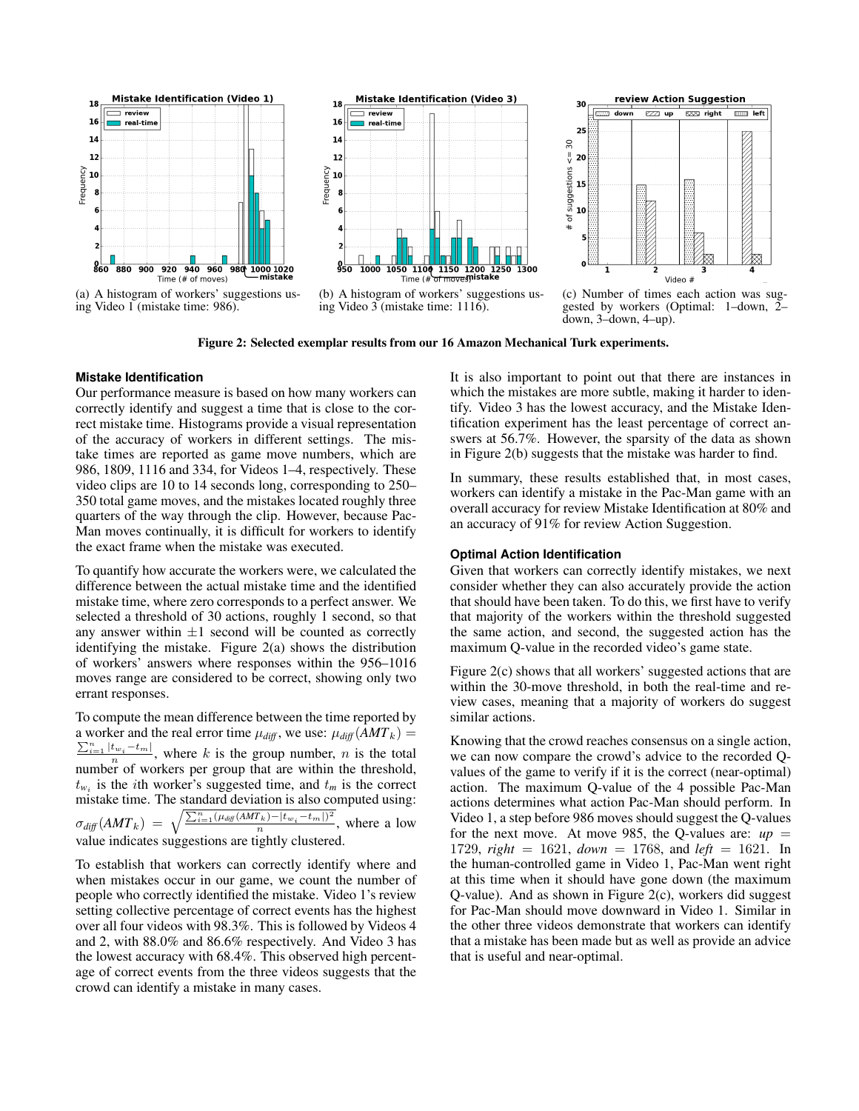<span id="page-2-0"></span>

(a) A histogram of workers' suggestions using Video 1 (mistake time: 986).



<span id="page-2-1"></span>(b) A histogram of workers' suggestions using Video 3 (mistake time: 1116).



<span id="page-2-2"></span>(c) Number of times each action was suggested by workers (Optimal: 1–down, 2– down, 3–down, 4–up).

Figure 2: Selected exemplar results from our 16 Amazon Mechanical Turk experiments.

#### **Mistake Identification**

Our performance measure is based on how many workers can correctly identify and suggest a time that is close to the correct mistake time. Histograms provide a visual representation of the accuracy of workers in different settings. The mistake times are reported as game move numbers, which are 986, 1809, 1116 and 334, for Videos 1–4, respectively. These video clips are 10 to 14 seconds long, corresponding to 250– 350 total game moves, and the mistakes located roughly three quarters of the way through the clip. However, because Pac-Man moves continually, it is difficult for workers to identify the exact frame when the mistake was executed.

To quantify how accurate the workers were, we calculated the difference between the actual mistake time and the identified mistake time, where zero corresponds to a perfect answer. We selected a threshold of 30 actions, roughly 1 second, so that any answer within  $\pm 1$  second will be counted as correctly identifying the mistake. Figure [2\(a\)](#page-2-0) shows the distribution of workers' answers where responses within the 956–1016 moves range are considered to be correct, showing only two errant responses.

To compute the mean difference between the time reported by a worker and the real error time  $\mu_{diff}$ , we use:  $\mu_{diff}(AMT_k) =$  $\frac{\sum_{i=1}^{n} |t_{w_i}-t_m|}{n}$ , where k is the group number, n is the total number of workers per group that are within the threshold,  $t_{w_i}$  is the *i*th worker's suggested time, and  $t_m$  is the correct mistake time. The standard deviation is also computed using:  $\sigma_{\textit{diff}}(AMT_k) \; = \; \sqrt{\frac{\sum_{i=1}^n (\mu_{\textit{diff}}(AMT_k)-|t_{w_i}-t_m|)^2}{n}}$  $\frac{n}{n}$ , where a low value indicates suggestions are tightly clustered.

To establish that workers can correctly identify where and when mistakes occur in our game, we count the number of people who correctly identified the mistake. Video 1's review setting collective percentage of correct events has the highest over all four videos with 98.3%. This is followed by Videos 4 and 2, with 88.0% and 86.6% respectively. And Video 3 has the lowest accuracy with 68.4%. This observed high percentage of correct events from the three videos suggests that the crowd can identify a mistake in many cases.

It is also important to point out that there are instances in which the mistakes are more subtle, making it harder to identify. Video 3 has the lowest accuracy, and the Mistake Identification experiment has the least percentage of correct answers at 56.7%. However, the sparsity of the data as shown in Figure [2\(b\)](#page-2-1) suggests that the mistake was harder to find.

In summary, these results established that, in most cases, workers can identify a mistake in the Pac-Man game with an overall accuracy for review Mistake Identification at 80% and an accuracy of 91% for review Action Suggestion.

#### **Optimal Action Identification**

Given that workers can correctly identify mistakes, we next consider whether they can also accurately provide the action that should have been taken. To do this, we first have to verify that majority of the workers within the threshold suggested the same action, and second, the suggested action has the maximum Q-value in the recorded video's game state.

Figure [2\(c\)](#page-2-2) shows that all workers' suggested actions that are within the 30-move threshold, in both the real-time and review cases, meaning that a majority of workers do suggest similar actions.

Knowing that the crowd reaches consensus on a single action, we can now compare the crowd's advice to the recorded Qvalues of the game to verify if it is the correct (near-optimal) action. The maximum Q-value of the 4 possible Pac-Man actions determines what action Pac-Man should perform. In Video 1, a step before 986 moves should suggest the Q-values for the next move. At move 985, the Q-values are:  $up =$ 1729, *right* = 1621, *down* = 1768, and *left* = 1621. In the human-controlled game in Video 1, Pac-Man went right at this time when it should have gone down (the maximum Q-value). And as shown in Figure [2\(c\),](#page-2-2) workers did suggest for Pac-Man should move downward in Video 1. Similar in the other three videos demonstrate that workers can identify that a mistake has been made but as well as provide an advice that is useful and near-optimal.